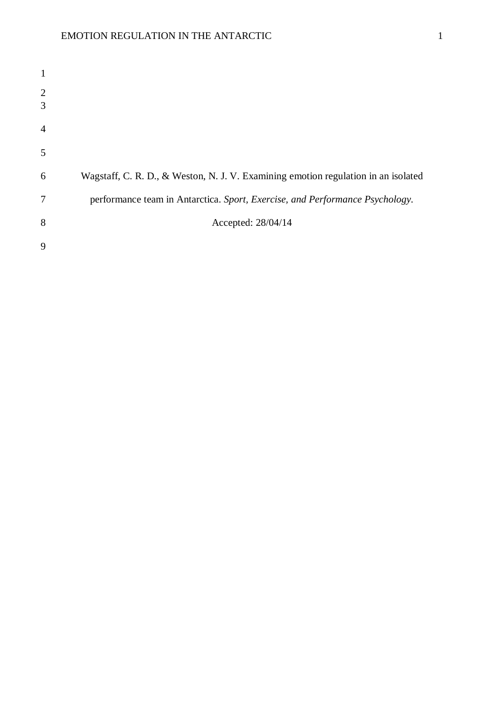| $\mathbf{1}$      |                                                                                    |
|-------------------|------------------------------------------------------------------------------------|
| $\mathbf{2}$<br>3 |                                                                                    |
| $\overline{4}$    |                                                                                    |
| 5                 |                                                                                    |
| 6                 | Wagstaff, C. R. D., & Weston, N. J. V. Examining emotion regulation in an isolated |
| 7                 | performance team in Antarctica. Sport, Exercise, and Performance Psychology.       |
| 8                 | Accepted: 28/04/14                                                                 |
| 9                 |                                                                                    |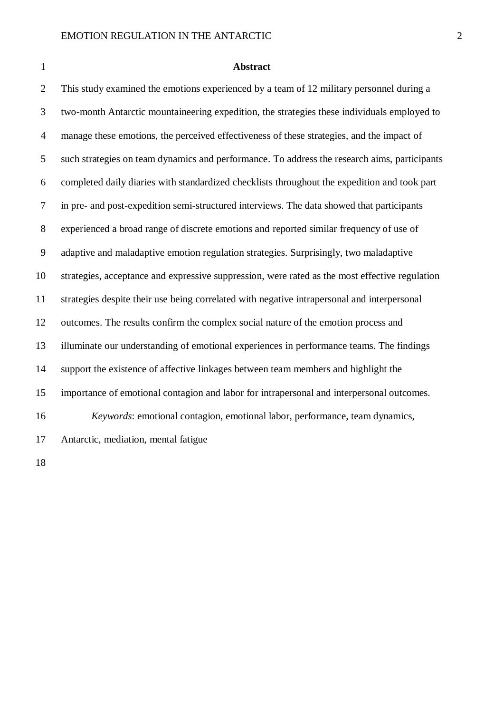#### **Abstract**

 This study examined the emotions experienced by a team of 12 military personnel during a two-month Antarctic mountaineering expedition, the strategies these individuals employed to manage these emotions, the perceived effectiveness of these strategies, and the impact of such strategies on team dynamics and performance. To address the research aims, participants completed daily diaries with standardized checklists throughout the expedition and took part in pre- and post-expedition semi-structured interviews. The data showed that participants experienced a broad range of discrete emotions and reported similar frequency of use of adaptive and maladaptive emotion regulation strategies. Surprisingly, two maladaptive strategies, acceptance and expressive suppression, were rated as the most effective regulation strategies despite their use being correlated with negative intrapersonal and interpersonal outcomes. The results confirm the complex social nature of the emotion process and illuminate our understanding of emotional experiences in performance teams. The findings support the existence of affective linkages between team members and highlight the importance of emotional contagion and labor for intrapersonal and interpersonal outcomes. *Keywords*: emotional contagion, emotional labor, performance, team dynamics, Antarctic, mediation, mental fatigue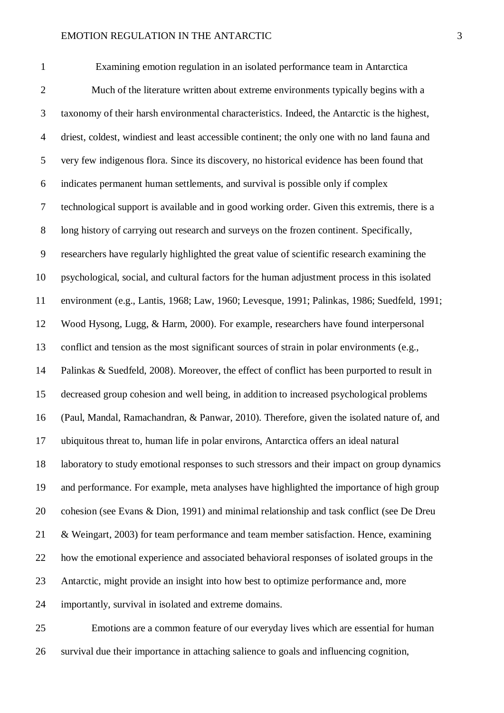Examining emotion regulation in an isolated performance team in Antarctica Much of the literature written about extreme environments typically begins with a taxonomy of their harsh environmental characteristics. Indeed, the Antarctic is the highest, driest, coldest, windiest and least accessible continent; the only one with no land fauna and very few indigenous flora. Since its discovery, no historical evidence has been found that indicates permanent human settlements, and survival is possible only if complex technological support is available and in good working order. Given this extremis, there is a long history of carrying out research and surveys on the frozen continent. Specifically, researchers have regularly highlighted the great value of scientific research examining the psychological, social, and cultural factors for the human adjustment process in this isolated environment (e.g., Lantis, 1968; Law, 1960; Levesque, 1991; Palinkas, 1986; Suedfeld, 1991; Wood Hysong, Lugg, & Harm, 2000). For example, researchers have found interpersonal conflict and tension as the most significant sources of strain in polar environments (e.g., Palinkas & Suedfeld, 2008). Moreover, the effect of conflict has been purported to result in decreased group cohesion and well being, in addition to increased psychological problems (Paul, Mandal, Ramachandran, & Panwar, 2010). Therefore, given the isolated nature of, and ubiquitous threat to, human life in polar environs, Antarctica offers an ideal natural laboratory to study emotional responses to such stressors and their impact on group dynamics and performance. For example, meta analyses have highlighted the importance of high group cohesion (see Evans & Dion, 1991) and minimal relationship and task conflict (see De Dreu & Weingart, 2003) for team performance and team member satisfaction. Hence, examining how the emotional experience and associated behavioral responses of isolated groups in the Antarctic, might provide an insight into how best to optimize performance and, more importantly, survival in isolated and extreme domains.

 Emotions are a common feature of our everyday lives which are essential for human survival due their importance in attaching salience to goals and influencing cognition,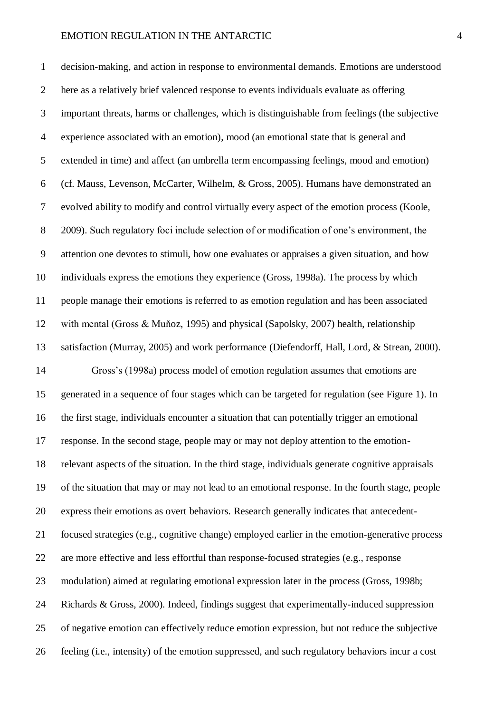decision-making, and action in response to environmental demands. Emotions are understood here as a relatively brief valenced response to events individuals evaluate as offering important threats, harms or challenges, which is distinguishable from feelings (the subjective experience associated with an emotion), mood (an emotional state that is general and extended in time) and affect (an umbrella term encompassing feelings, mood and emotion) (cf. Mauss, Levenson, McCarter, Wilhelm, & Gross, 2005). Humans have demonstrated an evolved ability to modify and control virtually every aspect of the emotion process (Koole, 2009). Such regulatory foci include selection of or modification of one"s environment, the attention one devotes to stimuli, how one evaluates or appraises a given situation, and how individuals express the emotions they experience (Gross, 1998a). The process by which people manage their emotions is referred to as emotion regulation and has been associated with mental (Gross & Muňoz, 1995) and physical (Sapolsky, 2007) health, relationship satisfaction (Murray, 2005) and work performance (Diefendorff, Hall, Lord, & Strean, 2000). Gross"s (1998a) process model of emotion regulation assumes that emotions are generated in a sequence of four stages which can be targeted for regulation (see Figure 1). In the first stage, individuals encounter a situation that can potentially trigger an emotional response. In the second stage, people may or may not deploy attention to the emotion- relevant aspects of the situation. In the third stage, individuals generate cognitive appraisals of the situation that may or may not lead to an emotional response. In the fourth stage, people express their emotions as overt behaviors. Research generally indicates that antecedent- focused strategies (e.g., cognitive change) employed earlier in the emotion-generative process are more effective and less effortful than response-focused strategies (e.g., response modulation) aimed at regulating emotional expression later in the process (Gross, 1998b; Richards & Gross, 2000). Indeed, findings suggest that experimentally-induced suppression of negative emotion can effectively reduce emotion expression, but not reduce the subjective feeling (i.e., intensity) of the emotion suppressed, and such regulatory behaviors incur a cost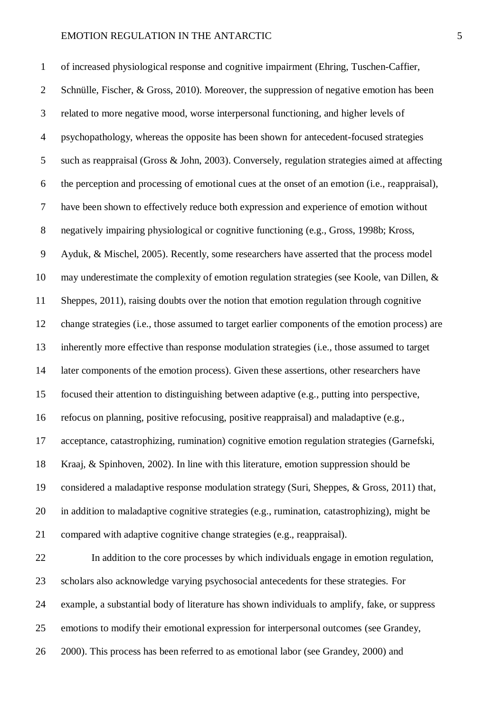of increased physiological response and cognitive impairment (Ehring, Tuschen-Caffier, Schnülle, Fischer, & Gross, 2010). Moreover, the suppression of negative emotion has been related to more negative mood, worse interpersonal functioning, and higher levels of psychopathology, whereas the opposite has been shown for antecedent-focused strategies such as reappraisal (Gross & John, 2003). Conversely, regulation strategies aimed at affecting the perception and processing of emotional cues at the onset of an emotion (i.e., reappraisal), have been shown to effectively reduce both expression and experience of emotion without negatively impairing physiological or cognitive functioning (e.g., Gross, 1998b; Kross, Ayduk, & Mischel, 2005). Recently, some researchers have asserted that the process model may underestimate the complexity of emotion regulation strategies (see Koole, van Dillen, & Sheppes, 2011), raising doubts over the notion that emotion regulation through cognitive change strategies (i.e., those assumed to target earlier components of the emotion process) are inherently more effective than response modulation strategies (i.e., those assumed to target later components of the emotion process). Given these assertions, other researchers have focused their attention to distinguishing between adaptive (e.g., putting into perspective, refocus on planning, positive refocusing, positive reappraisal) and maladaptive (e.g., acceptance, catastrophizing, rumination) cognitive emotion regulation strategies (Garnefski, Kraaj, & Spinhoven, 2002). In line with this literature, emotion suppression should be considered a maladaptive response modulation strategy (Suri, Sheppes, & Gross, 2011) that, in addition to maladaptive cognitive strategies (e.g., rumination, catastrophizing), might be compared with adaptive cognitive change strategies (e.g., reappraisal). In addition to the core processes by which individuals engage in emotion regulation, scholars also acknowledge varying psychosocial antecedents for these strategies. For

example, a substantial body of literature has shown individuals to amplify, fake, or suppress

emotions to modify their emotional expression for interpersonal outcomes (see Grandey,

2000). This process has been referred to as emotional labor (see Grandey, 2000) and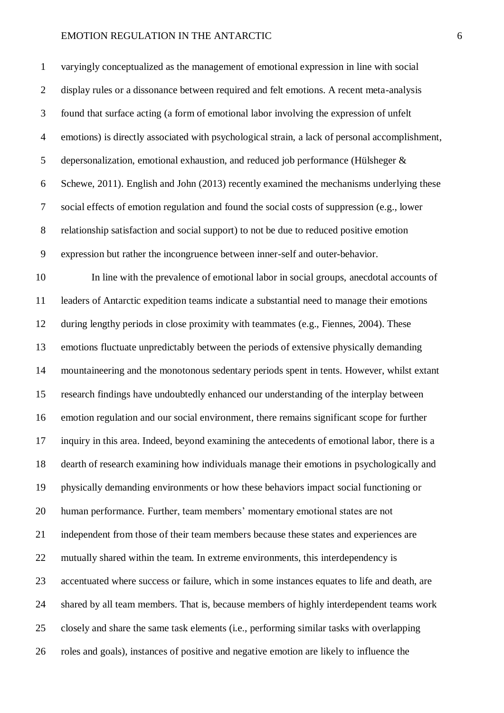varyingly conceptualized as the management of emotional expression in line with social display rules or a dissonance between required and felt emotions. A recent meta-analysis found that surface acting (a form of emotional labor involving the expression of unfelt emotions) is directly associated with psychological strain, a lack of personal accomplishment, depersonalization, emotional exhaustion, and reduced job performance (Hülsheger & Schewe, 2011). English and John (2013) recently examined the mechanisms underlying these social effects of emotion regulation and found the social costs of suppression (e.g., lower relationship satisfaction and social support) to not be due to reduced positive emotion expression but rather the incongruence between inner-self and outer-behavior. In line with the prevalence of emotional labor in social groups, anecdotal accounts of leaders of Antarctic expedition teams indicate a substantial need to manage their emotions during lengthy periods in close proximity with teammates (e.g., Fiennes, 2004). These emotions fluctuate unpredictably between the periods of extensive physically demanding mountaineering and the monotonous sedentary periods spent in tents. However, whilst extant research findings have undoubtedly enhanced our understanding of the interplay between emotion regulation and our social environment, there remains significant scope for further inquiry in this area. Indeed, beyond examining the antecedents of emotional labor, there is a dearth of research examining how individuals manage their emotions in psychologically and physically demanding environments or how these behaviors impact social functioning or human performance. Further, team members" momentary emotional states are not independent from those of their team members because these states and experiences are mutually shared within the team. In extreme environments, this interdependency is accentuated where success or failure, which in some instances equates to life and death, are shared by all team members. That is, because members of highly interdependent teams work closely and share the same task elements (i.e., performing similar tasks with overlapping roles and goals), instances of positive and negative emotion are likely to influence the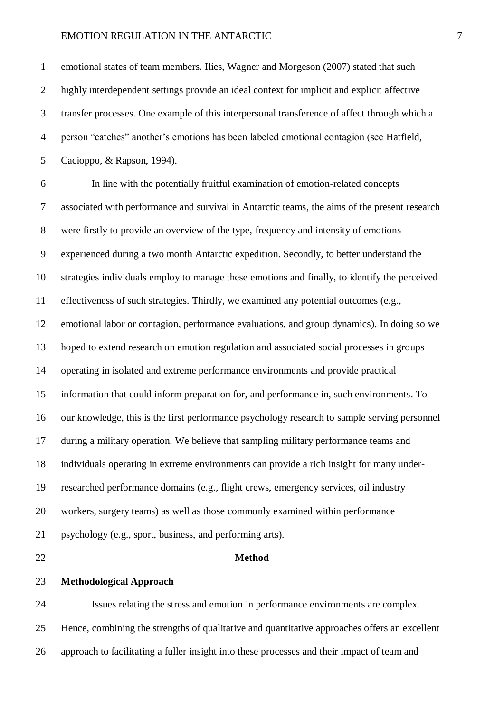## EMOTION REGULATION IN THE ANTARCTIC  $\qquad \qquad \qquad \qquad 7$

 emotional states of team members. Ilies, Wagner and Morgeson (2007) stated that such highly interdependent settings provide an ideal context for implicit and explicit affective transfer processes. One example of this interpersonal transference of affect through which a person "catches" another"s emotions has been labeled emotional contagion (see Hatfield, Cacioppo, & Rapson, 1994).

 In line with the potentially fruitful examination of emotion-related concepts associated with performance and survival in Antarctic teams, the aims of the present research were firstly to provide an overview of the type, frequency and intensity of emotions experienced during a two month Antarctic expedition. Secondly, to better understand the strategies individuals employ to manage these emotions and finally, to identify the perceived effectiveness of such strategies. Thirdly, we examined any potential outcomes (e.g., emotional labor or contagion, performance evaluations, and group dynamics). In doing so we hoped to extend research on emotion regulation and associated social processes in groups operating in isolated and extreme performance environments and provide practical information that could inform preparation for, and performance in, such environments. To our knowledge, this is the first performance psychology research to sample serving personnel during a military operation. We believe that sampling military performance teams and individuals operating in extreme environments can provide a rich insight for many under- researched performance domains (e.g., flight crews, emergency services, oil industry workers, surgery teams) as well as those commonly examined within performance psychology (e.g., sport, business, and performing arts).

#### **Method**

**Methodological Approach**

 Issues relating the stress and emotion in performance environments are complex. Hence, combining the strengths of qualitative and quantitative approaches offers an excellent approach to facilitating a fuller insight into these processes and their impact of team and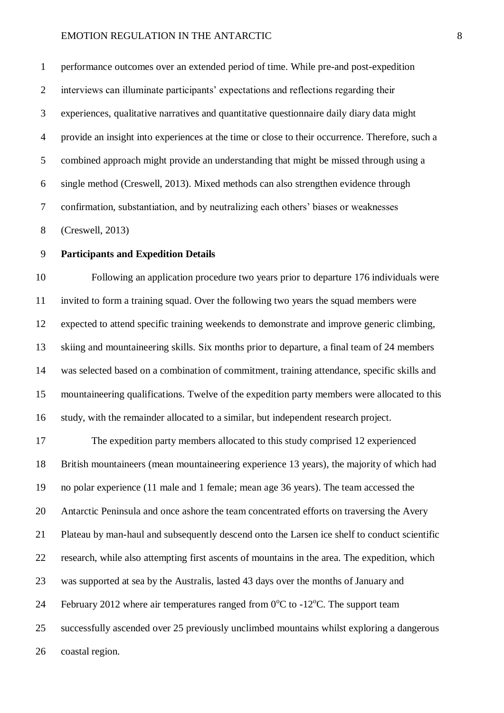performance outcomes over an extended period of time. While pre-and post-expedition 2 interviews can illuminate participants' expectations and reflections regarding their experiences, qualitative narratives and quantitative questionnaire daily diary data might provide an insight into experiences at the time or close to their occurrence. Therefore, such a combined approach might provide an understanding that might be missed through using a single method (Creswell, 2013). Mixed methods can also strengthen evidence through confirmation, substantiation, and by neutralizing each others" biases or weaknesses (Creswell, 2013)

### **Participants and Expedition Details**

 Following an application procedure two years prior to departure 176 individuals were invited to form a training squad. Over the following two years the squad members were expected to attend specific training weekends to demonstrate and improve generic climbing, skiing and mountaineering skills. Six months prior to departure, a final team of 24 members was selected based on a combination of commitment, training attendance, specific skills and mountaineering qualifications. Twelve of the expedition party members were allocated to this study, with the remainder allocated to a similar, but independent research project.

 The expedition party members allocated to this study comprised 12 experienced British mountaineers (mean mountaineering experience 13 years), the majority of which had no polar experience (11 male and 1 female; mean age 36 years). The team accessed the Antarctic Peninsula and once ashore the team concentrated efforts on traversing the Avery Plateau by man-haul and subsequently descend onto the Larsen ice shelf to conduct scientific research, while also attempting first ascents of mountains in the area. The expedition, which was supported at sea by the Australis, lasted 43 days over the months of January and 24 February 2012 where air temperatures ranged from  $0^{\circ}$ C to -12 $^{\circ}$ C. The support team successfully ascended over 25 previously unclimbed mountains whilst exploring a dangerous coastal region.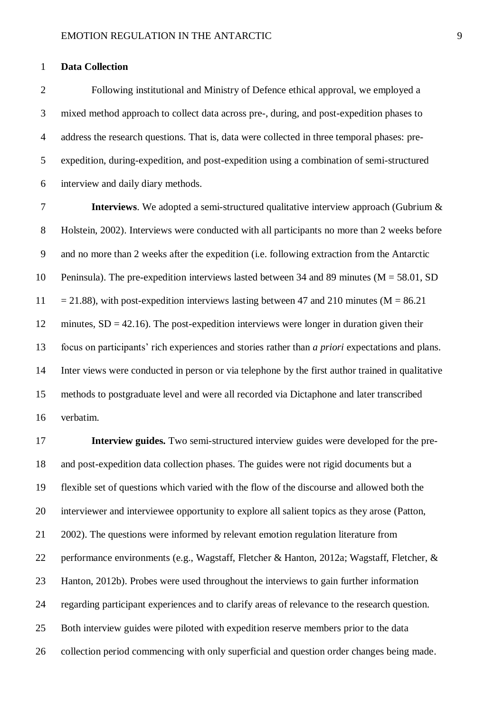## **Data Collection**

 Following institutional and Ministry of Defence ethical approval, we employed a mixed method approach to collect data across pre-, during, and post-expedition phases to address the research questions. That is, data were collected in three temporal phases: pre- expedition, during-expedition, and post-expedition using a combination of semi-structured interview and daily diary methods.

 **Interviews**. We adopted a semi-structured qualitative interview approach (Gubrium & Holstein, 2002). Interviews were conducted with all participants no more than 2 weeks before and no more than 2 weeks after the expedition (i.e. following extraction from the Antarctic 10 Peninsula). The pre-expedition interviews lasted between 34 and 89 minutes ( $M = 58.01$ , SD  $11 = 21.88$ ), with post-expedition interviews lasting between 47 and 210 minutes (M = 86.21) 12 minutes,  $SD = 42.16$ ). The post-expedition interviews were longer in duration given their focus on participants" rich experiences and stories rather than *a priori* expectations and plans. Inter views were conducted in person or via telephone by the first author trained in qualitative methods to postgraduate level and were all recorded via Dictaphone and later transcribed verbatim.

 **Interview guides.** Two semi-structured interview guides were developed for the pre- and post-expedition data collection phases. The guides were not rigid documents but a flexible set of questions which varied with the flow of the discourse and allowed both the interviewer and interviewee opportunity to explore all salient topics as they arose (Patton, 2002). The questions were informed by relevant emotion regulation literature from 22 performance environments (e.g., Wagstaff, Fletcher & Hanton, 2012a; Wagstaff, Fletcher, & Hanton, 2012b). Probes were used throughout the interviews to gain further information regarding participant experiences and to clarify areas of relevance to the research question. Both interview guides were piloted with expedition reserve members prior to the data collection period commencing with only superficial and question order changes being made.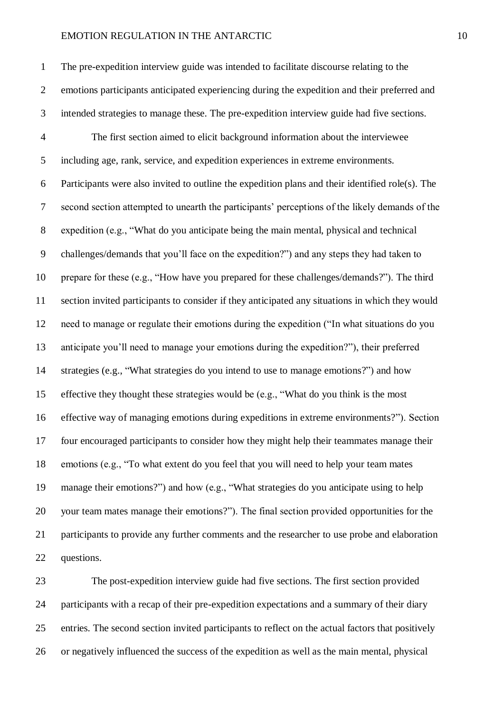The pre-expedition interview guide was intended to facilitate discourse relating to the emotions participants anticipated experiencing during the expedition and their preferred and intended strategies to manage these. The pre-expedition interview guide had five sections. The first section aimed to elicit background information about the interviewee including age, rank, service, and expedition experiences in extreme environments. Participants were also invited to outline the expedition plans and their identified role(s). The second section attempted to unearth the participants" perceptions of the likely demands of the expedition (e.g., "What do you anticipate being the main mental, physical and technical challenges/demands that you"ll face on the expedition?") and any steps they had taken to prepare for these (e.g., "How have you prepared for these challenges/demands?"). The third section invited participants to consider if they anticipated any situations in which they would need to manage or regulate their emotions during the expedition ("In what situations do you anticipate you"ll need to manage your emotions during the expedition?"), their preferred strategies (e.g., "What strategies do you intend to use to manage emotions?") and how effective they thought these strategies would be (e.g., "What do you think is the most effective way of managing emotions during expeditions in extreme environments?"). Section four encouraged participants to consider how they might help their teammates manage their emotions (e.g., "To what extent do you feel that you will need to help your team mates manage their emotions?") and how (e.g., "What strategies do you anticipate using to help your team mates manage their emotions?"). The final section provided opportunities for the participants to provide any further comments and the researcher to use probe and elaboration questions.

 The post-expedition interview guide had five sections. The first section provided participants with a recap of their pre-expedition expectations and a summary of their diary entries. The second section invited participants to reflect on the actual factors that positively or negatively influenced the success of the expedition as well as the main mental, physical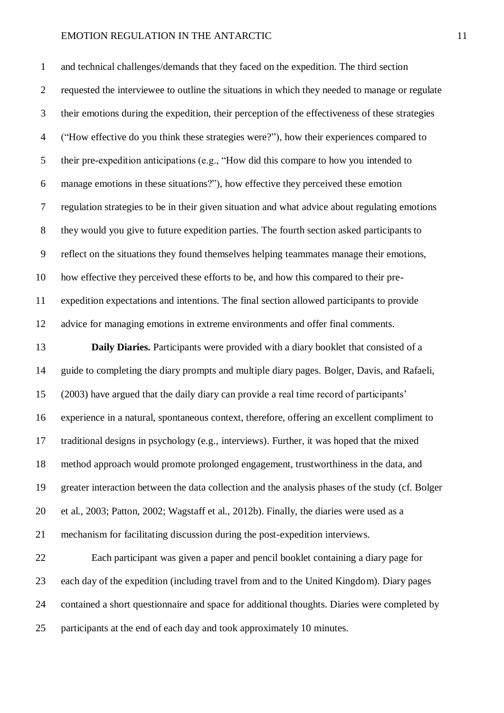and technical challenges/demands that they faced on the expedition. The third section requested the interviewee to outline the situations in which they needed to manage or regulate their emotions during the expedition, their perception of the effectiveness of these strategies ("How effective do you think these strategies were?"), how their experiences compared to their pre-expedition anticipations (e.g., "How did this compare to how you intended to manage emotions in these situations?"), how effective they perceived these emotion regulation strategies to be in their given situation and what advice about regulating emotions they would you give to future expedition parties. The fourth section asked participants to reflect on the situations they found themselves helping teammates manage their emotions, how effective they perceived these efforts to be, and how this compared to their pre- expedition expectations and intentions. The final section allowed participants to provide advice for managing emotions in extreme environments and offer final comments.

**Daily Diaries.** Participants were provided with a diary booklet that consisted of a guide to completing the diary prompts and multiple diary pages. Bolger, Davis, and Rafaeli, (2003) have argued that the daily diary can provide a real time record of participants" experience in a natural, spontaneous context, therefore, offering an excellent compliment to traditional designs in psychology (e.g., interviews). Further, it was hoped that the mixed method approach would promote prolonged engagement, trustworthiness in the data, and greater interaction between the data collection and the analysis phases of the study (cf. Bolger et al., 2003; Patton, 2002; Wagstaff et al., 2012b). Finally, the diaries were used as a mechanism for facilitating discussion during the post-expedition interviews.

 Each participant was given a paper and pencil booklet containing a diary page for each day of the expedition (including travel from and to the United Kingdom). Diary pages contained a short questionnaire and space for additional thoughts. Diaries were completed by participants at the end of each day and took approximately 10 minutes.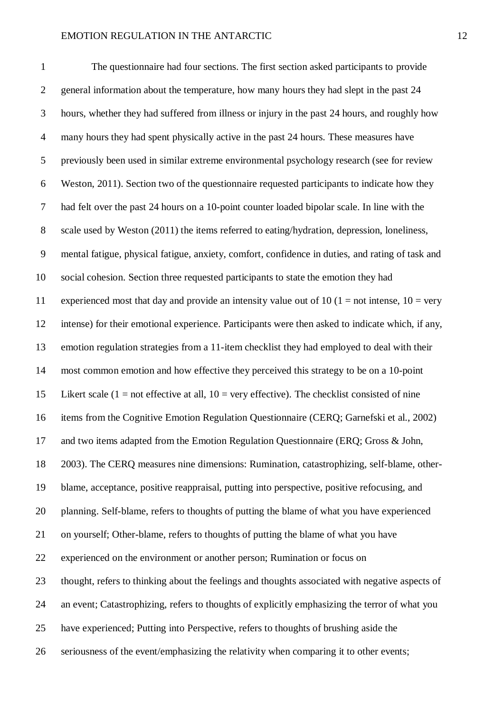The questionnaire had four sections. The first section asked participants to provide general information about the temperature, how many hours they had slept in the past 24 hours, whether they had suffered from illness or injury in the past 24 hours, and roughly how many hours they had spent physically active in the past 24 hours. These measures have previously been used in similar extreme environmental psychology research (see for review Weston, 2011). Section two of the questionnaire requested participants to indicate how they had felt over the past 24 hours on a 10-point counter loaded bipolar scale. In line with the 8 scale used by Weston (2011) the items referred to eating/hydration, depression, loneliness, mental fatigue, physical fatigue, anxiety, comfort, confidence in duties, and rating of task and social cohesion. Section three requested participants to state the emotion they had 11 experienced most that day and provide an intensity value out of 10 (1 = not intense,  $10 = \text{very}$ ) intense) for their emotional experience. Participants were then asked to indicate which, if any, emotion regulation strategies from a 11-item checklist they had employed to deal with their most common emotion and how effective they perceived this strategy to be on a 10-point 15 Likert scale (1 = not effective at all,  $10 =$  very effective). The checklist consisted of nine items from the Cognitive Emotion Regulation Questionnaire (CERQ; Garnefski et al., 2002) and two items adapted from the Emotion Regulation Questionnaire (ERQ; Gross & John, 2003). The CERQ measures nine dimensions: Rumination, catastrophizing, self-blame, other- blame, acceptance, positive reappraisal, putting into perspective, positive refocusing, and planning. Self-blame, refers to thoughts of putting the blame of what you have experienced on yourself; Other-blame, refers to thoughts of putting the blame of what you have experienced on the environment or another person; Rumination or focus on thought, refers to thinking about the feelings and thoughts associated with negative aspects of an event; Catastrophizing, refers to thoughts of explicitly emphasizing the terror of what you have experienced; Putting into Perspective, refers to thoughts of brushing aside the seriousness of the event/emphasizing the relativity when comparing it to other events;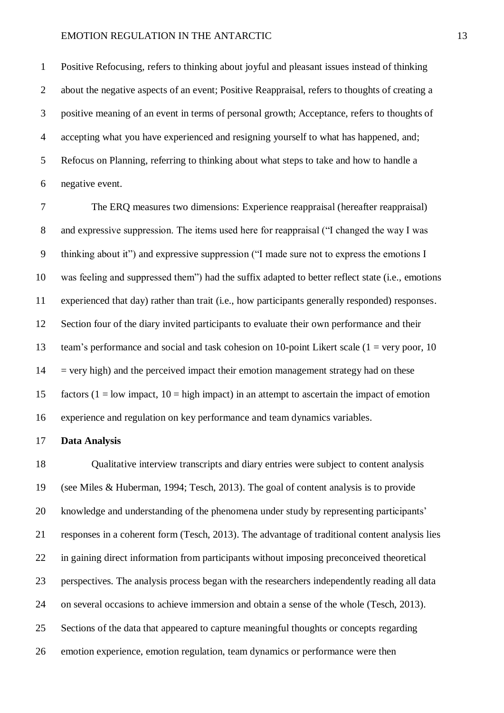Positive Refocusing, refers to thinking about joyful and pleasant issues instead of thinking about the negative aspects of an event; Positive Reappraisal, refers to thoughts of creating a positive meaning of an event in terms of personal growth; Acceptance, refers to thoughts of accepting what you have experienced and resigning yourself to what has happened, and; Refocus on Planning, referring to thinking about what steps to take and how to handle a negative event.

 The ERQ measures two dimensions: Experience reappraisal (hereafter reappraisal) and expressive suppression. The items used here for reappraisal ("I changed the way I was thinking about it") and expressive suppression ("I made sure not to express the emotions I was feeling and suppressed them") had the suffix adapted to better reflect state (i.e., emotions experienced that day) rather than trait (i.e., how participants generally responded) responses. Section four of the diary invited participants to evaluate their own performance and their team"s performance and social and task cohesion on 10-point Likert scale (1 = very poor, 10 = very high) and the perceived impact their emotion management strategy had on these 15 factors (1 = low impact, 10 = high impact) in an attempt to ascertain the impact of emotion experience and regulation on key performance and team dynamics variables.

## **Data Analysis**

 Qualitative interview transcripts and diary entries were subject to content analysis (see Miles & Huberman, 1994; Tesch, 2013). The goal of content analysis is to provide knowledge and understanding of the phenomena under study by representing participants" responses in a coherent form (Tesch, 2013). The advantage of traditional content analysis lies in gaining direct information from participants without imposing preconceived theoretical perspectives. The analysis process began with the researchers independently reading all data on several occasions to achieve immersion and obtain a sense of the whole (Tesch, 2013). Sections of the data that appeared to capture meaningful thoughts or concepts regarding emotion experience, emotion regulation, team dynamics or performance were then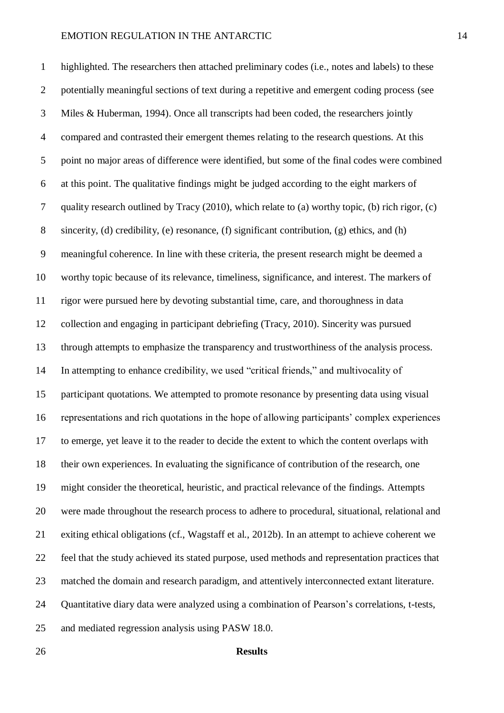highlighted. The researchers then attached preliminary codes (i.e., notes and labels) to these 2 potentially meaningful sections of text during a repetitive and emergent coding process (see Miles & Huberman, 1994). Once all transcripts had been coded, the researchers jointly compared and contrasted their emergent themes relating to the research questions. At this point no major areas of difference were identified, but some of the final codes were combined at this point. The qualitative findings might be judged according to the eight markers of quality research outlined by Tracy (2010), which relate to (a) worthy topic, (b) rich rigor, (c) sincerity, (d) credibility, (e) resonance, (f) significant contribution, (g) ethics, and (h) meaningful coherence. In line with these criteria, the present research might be deemed a worthy topic because of its relevance, timeliness, significance, and interest. The markers of rigor were pursued here by devoting substantial time, care, and thoroughness in data collection and engaging in participant debriefing (Tracy, 2010). Sincerity was pursued through attempts to emphasize the transparency and trustworthiness of the analysis process. In attempting to enhance credibility, we used "critical friends," and multivocality of participant quotations. We attempted to promote resonance by presenting data using visual representations and rich quotations in the hope of allowing participants" complex experiences to emerge, yet leave it to the reader to decide the extent to which the content overlaps with their own experiences. In evaluating the significance of contribution of the research, one might consider the theoretical, heuristic, and practical relevance of the findings. Attempts were made throughout the research process to adhere to procedural, situational, relational and exiting ethical obligations (cf., Wagstaff et al., 2012b). In an attempt to achieve coherent we feel that the study achieved its stated purpose, used methods and representation practices that matched the domain and research paradigm, and attentively interconnected extant literature. Quantitative diary data were analyzed using a combination of Pearson"s correlations, t-tests, and mediated regression analysis using PASW 18.0.

#### **Results**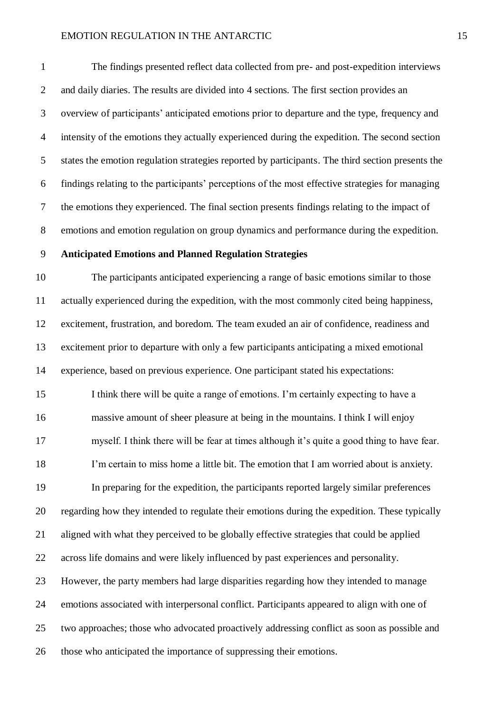The findings presented reflect data collected from pre- and post-expedition interviews and daily diaries. The results are divided into 4 sections. The first section provides an overview of participants" anticipated emotions prior to departure and the type, frequency and intensity of the emotions they actually experienced during the expedition. The second section states the emotion regulation strategies reported by participants. The third section presents the findings relating to the participants" perceptions of the most effective strategies for managing the emotions they experienced. The final section presents findings relating to the impact of emotions and emotion regulation on group dynamics and performance during the expedition.

## **Anticipated Emotions and Planned Regulation Strategies**

 The participants anticipated experiencing a range of basic emotions similar to those actually experienced during the expedition, with the most commonly cited being happiness, excitement, frustration, and boredom. The team exuded an air of confidence, readiness and excitement prior to departure with only a few participants anticipating a mixed emotional experience, based on previous experience. One participant stated his expectations: I think there will be quite a range of emotions. I"m certainly expecting to have a

 massive amount of sheer pleasure at being in the mountains. I think I will enjoy myself. I think there will be fear at times although it"s quite a good thing to have fear. 18 I'm certain to miss home a little bit. The emotion that I am worried about is anxiety. In preparing for the expedition, the participants reported largely similar preferences regarding how they intended to regulate their emotions during the expedition. These typically aligned with what they perceived to be globally effective strategies that could be applied across life domains and were likely influenced by past experiences and personality. However, the party members had large disparities regarding how they intended to manage emotions associated with interpersonal conflict. Participants appeared to align with one of two approaches; those who advocated proactively addressing conflict as soon as possible and those who anticipated the importance of suppressing their emotions.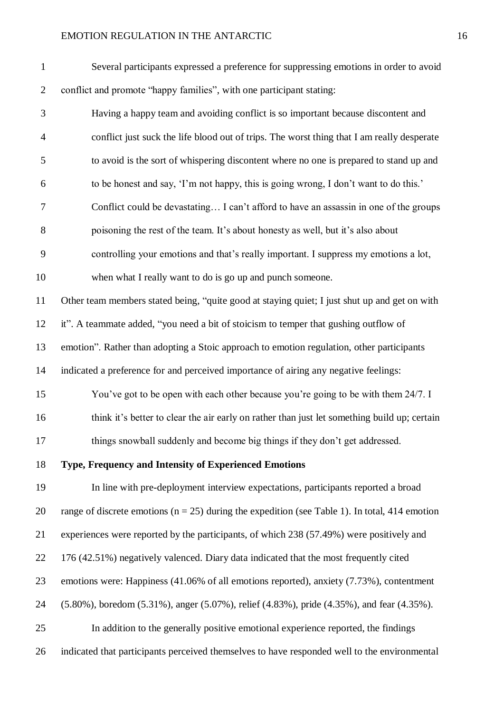| $\mathbf{1}$   | Several participants expressed a preference for suppressing emotions in order to avoid                            |
|----------------|-------------------------------------------------------------------------------------------------------------------|
| $\overline{2}$ | conflict and promote "happy families", with one participant stating:                                              |
| 3              | Having a happy team and avoiding conflict is so important because discontent and                                  |
| $\overline{4}$ | conflict just suck the life blood out of trips. The worst thing that I am really desperate                        |
| 5              | to avoid is the sort of whispering discontent where no one is prepared to stand up and                            |
| 6              | to be honest and say, 'I'm not happy, this is going wrong, I don't want to do this.'                              |
| $\tau$         | Conflict could be devastating I can't afford to have an assassin in one of the groups                             |
| 8              | poisoning the rest of the team. It's about honesty as well, but it's also about                                   |
| 9              | controlling your emotions and that's really important. I suppress my emotions a lot,                              |
| 10             | when what I really want to do is go up and punch someone.                                                         |
| 11             | Other team members stated being, "quite good at staying quiet; I just shut up and get on with                     |
| 12             | it". A teammate added, "you need a bit of stoicism to temper that gushing outflow of                              |
| 13             | emotion". Rather than adopting a Stoic approach to emotion regulation, other participants                         |
| 14             | indicated a preference for and perceived importance of airing any negative feelings:                              |
| 15             | You've got to be open with each other because you're going to be with them 24/7. I                                |
| 16             | think it's better to clear the air early on rather than just let something build up; certain                      |
| 17             | things snowball suddenly and become big things if they don't get addressed.                                       |
| 18             | <b>Type, Frequency and Intensity of Experienced Emotions</b>                                                      |
| 19             | In line with pre-deployment interview expectations, participants reported a broad                                 |
| 20             | range of discrete emotions ( $n = 25$ ) during the expedition (see Table 1). In total, 414 emotion                |
| 21             | experiences were reported by the participants, of which 238 (57.49%) were positively and                          |
| 22             | 176 (42.51%) negatively valenced. Diary data indicated that the most frequently cited                             |
| 23             | emotions were: Happiness $(41.06\%$ of all emotions reported), anxiety $(7.73\%)$ , contentment                   |
| 24             | $(5.80\%)$ , boredom $(5.31\%)$ , anger $(5.07\%)$ , relief $(4.83\%)$ , pride $(4.35\%)$ , and fear $(4.35\%)$ . |
| 25             | In addition to the generally positive emotional experience reported, the findings                                 |
| 26             | indicated that participants perceived themselves to have responded well to the environmental                      |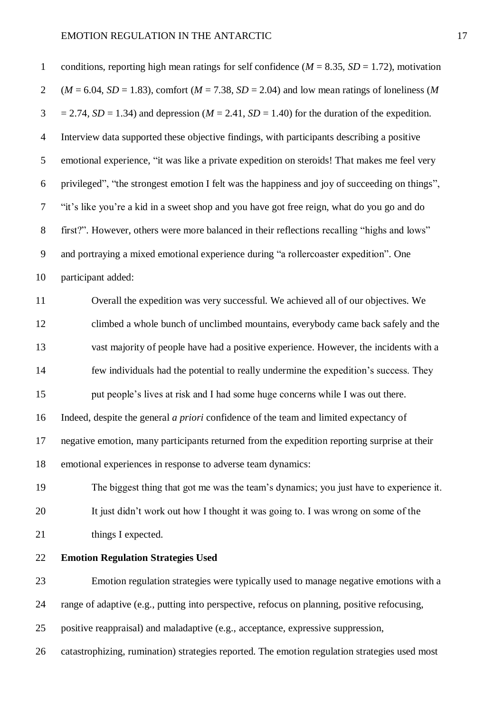| $\mathbf{1}$   | conditions, reporting high mean ratings for self confidence ( $M = 8.35$ , $SD = 1.72$ ), motivation     |
|----------------|----------------------------------------------------------------------------------------------------------|
| $\overline{2}$ | $(M = 6.04, SD = 1.83)$ , comfort $(M = 7.38, SD = 2.04)$ and low mean ratings of loneliness (M)         |
| $\mathfrak{Z}$ | $= 2.74$ , $SD = 1.34$ ) and depression ( $M = 2.41$ , $SD = 1.40$ ) for the duration of the expedition. |
| $\overline{4}$ | Interview data supported these objective findings, with participants describing a positive               |
| 5              | emotional experience, "it was like a private expedition on steroids! That makes me feel very             |
| 6              | privileged", "the strongest emotion I felt was the happiness and joy of succeeding on things",           |
| $\tau$         | "it's like you're a kid in a sweet shop and you have got free reign, what do you go and do               |
| $8\,$          | first?". However, others were more balanced in their reflections recalling "highs and lows"              |
| 9              | and portraying a mixed emotional experience during "a rollercoaster expedition". One                     |
| 10             | participant added:                                                                                       |
| 11             | Overall the expedition was very successful. We achieved all of our objectives. We                        |
| 12             | climbed a whole bunch of unclimbed mountains, everybody came back safely and the                         |
| 13             | vast majority of people have had a positive experience. However, the incidents with a                    |
| 14             | few individuals had the potential to really undermine the expedition's success. They                     |
| 15             | put people's lives at risk and I had some huge concerns while I was out there.                           |
| 16             | Indeed, despite the general <i>a priori</i> confidence of the team and limited expectancy of             |
| 17             | negative emotion, many participants returned from the expedition reporting surprise at their             |
| 18             | emotional experiences in response to adverse team dynamics:                                              |
| 19             | The biggest thing that got me was the team's dynamics; you just have to experience it.                   |
| 20             | It just didn't work out how I thought it was going to. I was wrong on some of the                        |
| 21             | things I expected.                                                                                       |
| 22             | <b>Emotion Regulation Strategies Used</b>                                                                |
| 23             | Emotion regulation strategies were typically used to manage negative emotions with a                     |
| 24             | range of adaptive (e.g., putting into perspective, refocus on planning, positive refocusing,             |
| 25             | positive reappraisal) and maladaptive (e.g., acceptance, expressive suppression,                         |

catastrophizing, rumination) strategies reported. The emotion regulation strategies used most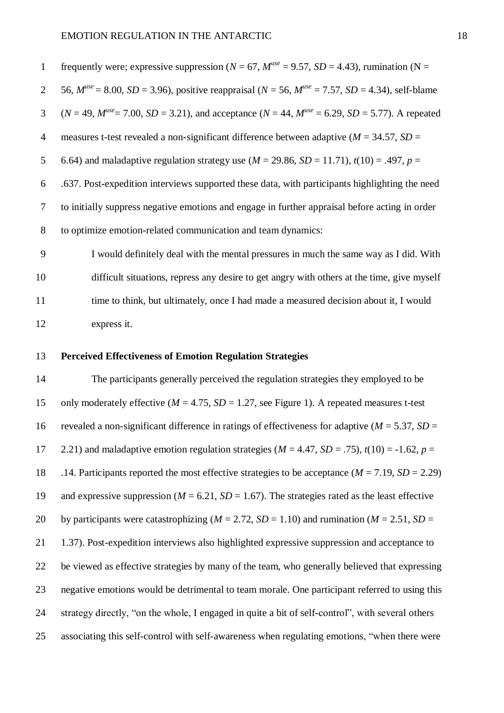frequently were; expressive suppression ( $N = 67$ ,  $M^{use} = 9.57$ ,  $SD = 4.43$ ), rumination (N = 56,  $M^{use} = 8.00$ ,  $SD = 3.96$ ), positive reappraisal ( $N = 56$ ,  $M^{use} = 7.57$ ,  $SD = 4.34$ ), self-blame  $($ *N* = 49,  $M^{use} = 7.00$ , *SD* = 3.21), and acceptance (*N* = 44,  $M^{use} = 6.29$ , *SD* = 5.77). A repeated measures t-test revealed a non-significant difference between adaptive (*M* = 34.57, *SD* = 5 6.64) and maladaptive regulation strategy use  $(M = 29.86, SD = 11.71)$ ,  $t(10) = .497$ ,  $p =$  .637. Post-expedition interviews supported these data, with participants highlighting the need to initially suppress negative emotions and engage in further appraisal before acting in order to optimize emotion-related communication and team dynamics: I would definitely deal with the mental pressures in much the same way as I did. With

 difficult situations, repress any desire to get angry with others at the time, give myself 11 time to think, but ultimately, once I had made a measured decision about it, I would express it.

### **Perceived Effectiveness of Emotion Regulation Strategies**

 The participants generally perceived the regulation strategies they employed to be only moderately effective (*M* = 4.75, *SD* = 1.27, see Figure 1). A repeated measures t-test revealed a non-significant difference in ratings of effectiveness for adaptive (*M* = 5.37, *SD* = 17 2.21) and maladaptive emotion regulation strategies ( $M = 4.47$ ,  $SD = .75$ ),  $t(10) = -1.62$ ,  $p =$  .14. Participants reported the most effective strategies to be acceptance (*M* = 7.19, *SD* = 2.29) 19 and expressive suppression ( $M = 6.21$ ,  $SD = 1.67$ ). The strategies rated as the least effective 20 by participants were catastrophizing  $(M = 2.72, SD = 1.10)$  and rumination  $(M = 2.51, SD = 1.10)$  1.37). Post-expedition interviews also highlighted expressive suppression and acceptance to be viewed as effective strategies by many of the team, who generally believed that expressing negative emotions would be detrimental to team morale. One participant referred to using this strategy directly, "on the whole, I engaged in quite a bit of self-control", with several others associating this self-control with self-awareness when regulating emotions, "when there were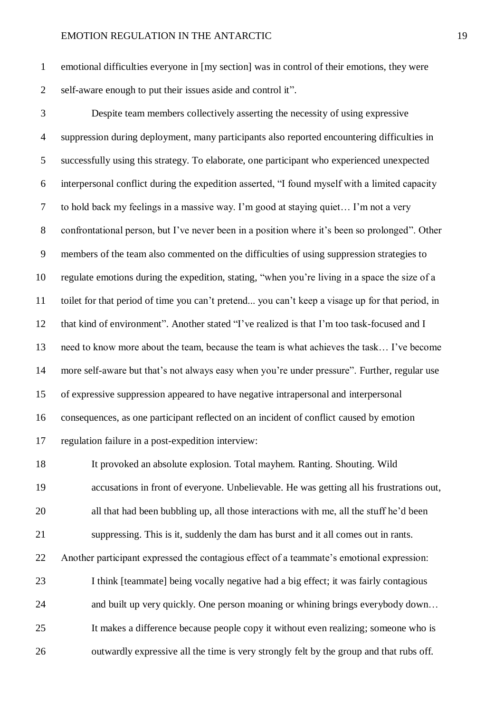emotional difficulties everyone in [my section] was in control of their emotions, they were self-aware enough to put their issues aside and control it".

 Despite team members collectively asserting the necessity of using expressive suppression during deployment, many participants also reported encountering difficulties in successfully using this strategy. To elaborate, one participant who experienced unexpected interpersonal conflict during the expedition asserted, "I found myself with a limited capacity to hold back my feelings in a massive way. I"m good at staying quiet… I"m not a very 8 confrontational person, but I've never been in a position where it's been so prolonged". Other members of the team also commented on the difficulties of using suppression strategies to regulate emotions during the expedition, stating, "when you"re living in a space the size of a toilet for that period of time you can"t pretend... you can"t keep a visage up for that period, in that kind of environment". Another stated "I"ve realized is that I"m too task-focused and I need to know more about the team, because the team is what achieves the task… I"ve become 14 more self-aware but that's not always easy when you're under pressure". Further, regular use of expressive suppression appeared to have negative intrapersonal and interpersonal consequences, as one participant reflected on an incident of conflict caused by emotion regulation failure in a post-expedition interview:

 It provoked an absolute explosion. Total mayhem. Ranting. Shouting. Wild accusations in front of everyone. Unbelievable. He was getting all his frustrations out, all that had been bubbling up, all those interactions with me, all the stuff he"d been suppressing. This is it, suddenly the dam has burst and it all comes out in rants. Another participant expressed the contagious effect of a teammate"s emotional expression: I think [teammate] being vocally negative had a big effect; it was fairly contagious and built up very quickly. One person moaning or whining brings everybody down… It makes a difference because people copy it without even realizing; someone who is outwardly expressive all the time is very strongly felt by the group and that rubs off.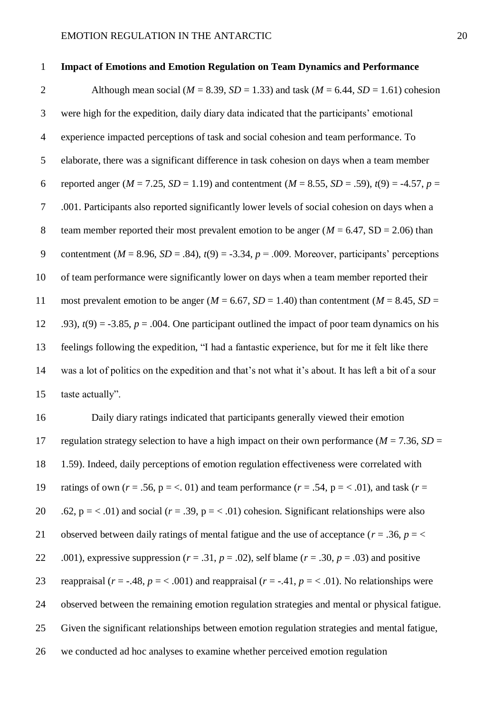### 1 **Impact of Emotions and Emotion Regulation on Team Dynamics and Performance**

2 Although mean social ( $M = 8.39$ ,  $SD = 1.33$ ) and task ( $M = 6.44$ ,  $SD = 1.61$ ) cohesion 3 were high for the expedition, daily diary data indicated that the participants" emotional 4 experience impacted perceptions of task and social cohesion and team performance. To 5 elaborate, there was a significant difference in task cohesion on days when a team member 6 reported anger ( $M = 7.25$ ,  $SD = 1.19$ ) and contentment ( $M = 8.55$ ,  $SD = .59$ ),  $t(9) = -4.57$ ,  $p =$ 7 .001. Participants also reported significantly lower levels of social cohesion on days when a 8 team member reported their most prevalent emotion to be anger  $(M = 6.47, SD = 2.06)$  than 9 contentment  $(M = 8.96, SD = .84)$ ,  $t(9) = -3.34$ ,  $p = .009$ . Moreover, participants' perceptions 10 of team performance were significantly lower on days when a team member reported their 11 most prevalent emotion to be anger  $(M = 6.67, SD = 1.40)$  than contentment  $(M = 8.45, SD =$ 12 .93),  $t(9) = -3.85$ ,  $p = .004$ . One participant outlined the impact of poor team dynamics on his 13 feelings following the expedition, "I had a fantastic experience, but for me it felt like there 14 was a lot of politics on the expedition and that"s not what it"s about. It has left a bit of a sour 15 taste actually".

16 Daily diary ratings indicated that participants generally viewed their emotion 17 regulation strategy selection to have a high impact on their own performance ( $M = 7.36$ ,  $SD =$ 18 1.59). Indeed, daily perceptions of emotion regulation effectiveness were correlated with 19 ratings of own  $(r = .56, p = .01)$  and team performance  $(r = .54, p = .01)$ , and task  $(r = .54, p = .01)$ 20 .62,  $p = < .01$ ) and social ( $r = .39$ ,  $p = < .01$ ) cohesion. Significant relationships were also 21 observed between daily ratings of mental fatigue and the use of acceptance ( $r = .36$ ,  $p = <$ 22 .001), expressive suppression ( $r = .31$ ,  $p = .02$ ), self blame ( $r = .30$ ,  $p = .03$ ) and positive 23 reappraisal ( $r = -0.48$ ,  $p = < 0.001$ ) and reappraisal ( $r = -0.41$ ,  $p = < 0.01$ ). No relationships were 24 observed between the remaining emotion regulation strategies and mental or physical fatigue. 25 Given the significant relationships between emotion regulation strategies and mental fatigue, 26 we conducted ad hoc analyses to examine whether perceived emotion regulation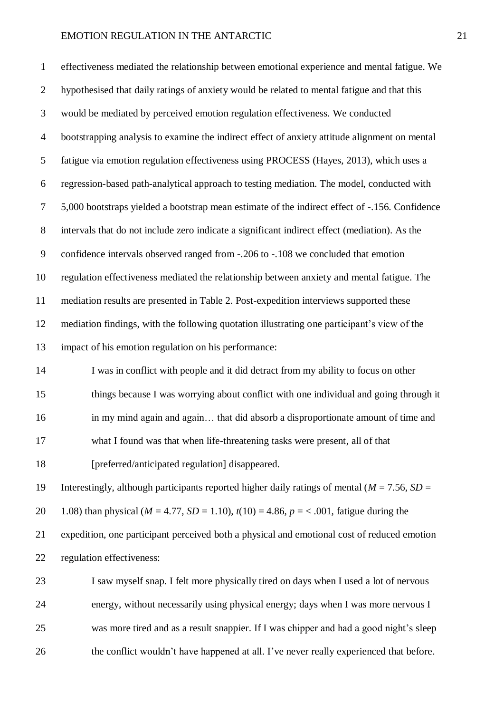effectiveness mediated the relationship between emotional experience and mental fatigue. We hypothesised that daily ratings of anxiety would be related to mental fatigue and that this would be mediated by perceived emotion regulation effectiveness. We conducted bootstrapping analysis to examine the indirect effect of anxiety attitude alignment on mental fatigue via emotion regulation effectiveness using PROCESS (Hayes, 2013), which uses a regression-based path-analytical approach to testing mediation. The model, conducted with 5,000 bootstraps yielded a bootstrap mean estimate of the indirect effect of -.156. Confidence intervals that do not include zero indicate a significant indirect effect (mediation). As the confidence intervals observed ranged from -.206 to -.108 we concluded that emotion regulation effectiveness mediated the relationship between anxiety and mental fatigue. The mediation results are presented in Table 2. Post-expedition interviews supported these mediation findings, with the following quotation illustrating one participant"s view of the impact of his emotion regulation on his performance: I was in conflict with people and it did detract from my ability to focus on other things because I was worrying about conflict with one individual and going through it in my mind again and again… that did absorb a disproportionate amount of time and what I found was that when life-threatening tasks were present, all of that 18 [preferred/anticipated regulation] disappeared. 19 Interestingly, although participants reported higher daily ratings of mental ( $M = 7.56$ ,  $SD =$ 20 1.08) than physical ( $M = 4.77$ ,  $SD = 1.10$ ),  $t(10) = 4.86$ ,  $p = 0.001$ , fatigue during the

 expedition, one participant perceived both a physical and emotional cost of reduced emotion regulation effectiveness:

 I saw myself snap. I felt more physically tired on days when I used a lot of nervous energy, without necessarily using physical energy; days when I was more nervous I was more tired and as a result snappier. If I was chipper and had a good night"s sleep the conflict wouldn"t have happened at all. I"ve never really experienced that before.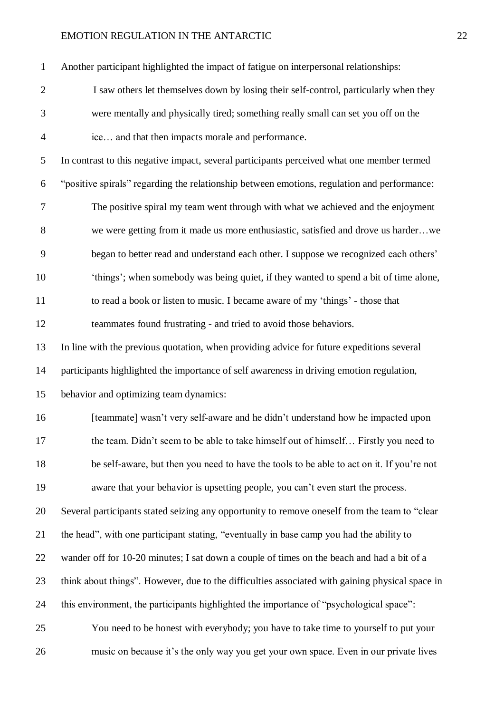| $\mathbf{1}$   | Another participant highlighted the impact of fatigue on interpersonal relationships:           |
|----------------|-------------------------------------------------------------------------------------------------|
| $\overline{2}$ | I saw others let themselves down by losing their self-control, particularly when they           |
| 3              | were mentally and physically tired; something really small can set you off on the               |
| $\overline{4}$ | ice and that then impacts morale and performance.                                               |
| 5              | In contrast to this negative impact, several participants perceived what one member termed      |
| 6              | "positive spirals" regarding the relationship between emotions, regulation and performance:     |
| 7              | The positive spiral my team went through with what we achieved and the enjoyment                |
| 8              | we were getting from it made us more enthusiastic, satisfied and drove us harderwe              |
| 9              | began to better read and understand each other. I suppose we recognized each others'            |
| 10             | 'things'; when somebody was being quiet, if they wanted to spend a bit of time alone,           |
| 11             | to read a book or listen to music. I became aware of my 'things' - those that                   |
| 12             | teammates found frustrating - and tried to avoid those behaviors.                               |
| 13             | In line with the previous quotation, when providing advice for future expeditions several       |
| 14             | participants highlighted the importance of self awareness in driving emotion regulation,        |
| 15             | behavior and optimizing team dynamics:                                                          |
| 16             | [teammate] wasn't very self-aware and he didn't understand how he impacted upon                 |
| 17             | the team. Didn't seem to be able to take himself out of himself Firstly you need to             |
| 18             | be self-aware, but then you need to have the tools to be able to act on it. If you're not       |
| 19             | aware that your behavior is upsetting people, you can't even start the process.                 |
| 20             | Several participants stated seizing any opportunity to remove oneself from the team to "clear   |
| 21             | the head", with one participant stating, "eventually in base camp you had the ability to        |
| 22             | wander off for 10-20 minutes; I sat down a couple of times on the beach and had a bit of a      |
| 23             | think about things". However, due to the difficulties associated with gaining physical space in |
| 24             | this environment, the participants highlighted the importance of "psychological space":         |
| 25             | You need to be honest with everybody; you have to take time to yourself to put your             |
| 26             | music on because it's the only way you get your own space. Even in our private lives            |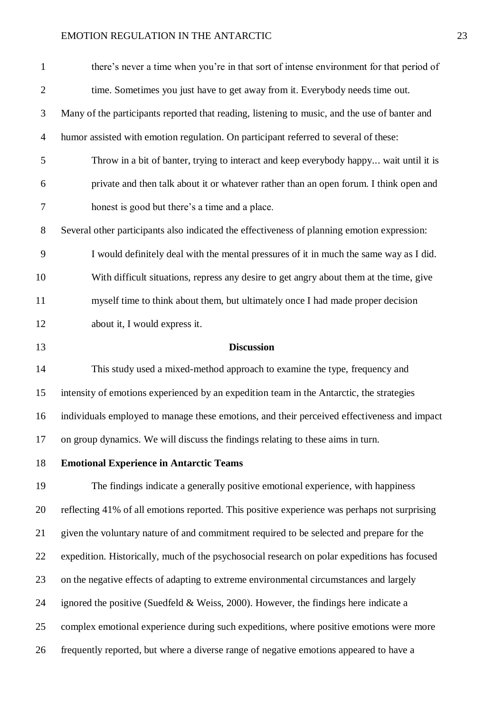| $\mathbf{1}$   | there's never a time when you're in that sort of intense environment for that period of       |
|----------------|-----------------------------------------------------------------------------------------------|
| $\overline{2}$ | time. Sometimes you just have to get away from it. Everybody needs time out.                  |
| 3              | Many of the participants reported that reading, listening to music, and the use of banter and |
| $\overline{4}$ | humor assisted with emotion regulation. On participant referred to several of these:          |
| 5              | Throw in a bit of banter, trying to interact and keep everybody happy wait until it is        |
| 6              | private and then talk about it or whatever rather than an open forum. I think open and        |
| 7              | honest is good but there's a time and a place.                                                |
| 8              | Several other participants also indicated the effectiveness of planning emotion expression:   |
| 9              | I would definitely deal with the mental pressures of it in much the same way as I did.        |
| 10             | With difficult situations, repress any desire to get angry about them at the time, give       |
| 11             | myself time to think about them, but ultimately once I had made proper decision               |
| 12             | about it, I would express it.                                                                 |
| 13             | <b>Discussion</b>                                                                             |
|                |                                                                                               |
| 14             | This study used a mixed-method approach to examine the type, frequency and                    |
| 15             | intensity of emotions experienced by an expedition team in the Antarctic, the strategies      |
| 16             | individuals employed to manage these emotions, and their perceived effectiveness and impact   |
| 17             | on group dynamics. We will discuss the findings relating to these aims in turn.               |
| 18             | <b>Emotional Experience in Antarctic Teams</b>                                                |
|                | The findings indicate a generally positive emotional experience, with happiness               |
| 19<br>20       | reflecting 41% of all emotions reported. This positive experience was perhaps not surprising  |
| 21             | given the voluntary nature of and commitment required to be selected and prepare for the      |
| 22             | expedition. Historically, much of the psychosocial research on polar expeditions has focused  |
| 23             | on the negative effects of adapting to extreme environmental circumstances and largely        |
| 24             | ignored the positive (Suedfeld & Weiss, 2000). However, the findings here indicate a          |
| 25             | complex emotional experience during such expeditions, where positive emotions were more       |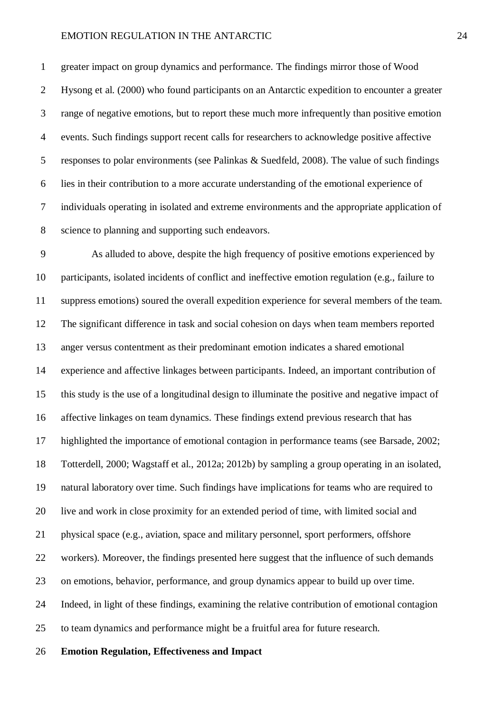greater impact on group dynamics and performance. The findings mirror those of Wood Hysong et al. (2000) who found participants on an Antarctic expedition to encounter a greater range of negative emotions, but to report these much more infrequently than positive emotion events. Such findings support recent calls for researchers to acknowledge positive affective responses to polar environments (see Palinkas & Suedfeld, 2008). The value of such findings lies in their contribution to a more accurate understanding of the emotional experience of individuals operating in isolated and extreme environments and the appropriate application of science to planning and supporting such endeavors.

 As alluded to above, despite the high frequency of positive emotions experienced by participants, isolated incidents of conflict and ineffective emotion regulation (e.g., failure to suppress emotions) soured the overall expedition experience for several members of the team. The significant difference in task and social cohesion on days when team members reported anger versus contentment as their predominant emotion indicates a shared emotional experience and affective linkages between participants. Indeed, an important contribution of this study is the use of a longitudinal design to illuminate the positive and negative impact of affective linkages on team dynamics. These findings extend previous research that has highlighted the importance of emotional contagion in performance teams (see Barsade, 2002; Totterdell, 2000; Wagstaff et al., 2012a; 2012b) by sampling a group operating in an isolated, natural laboratory over time. Such findings have implications for teams who are required to live and work in close proximity for an extended period of time, with limited social and physical space (e.g., aviation, space and military personnel, sport performers, offshore workers). Moreover, the findings presented here suggest that the influence of such demands on emotions, behavior, performance, and group dynamics appear to build up over time. Indeed, in light of these findings, examining the relative contribution of emotional contagion to team dynamics and performance might be a fruitful area for future research.

### **Emotion Regulation, Effectiveness and Impact**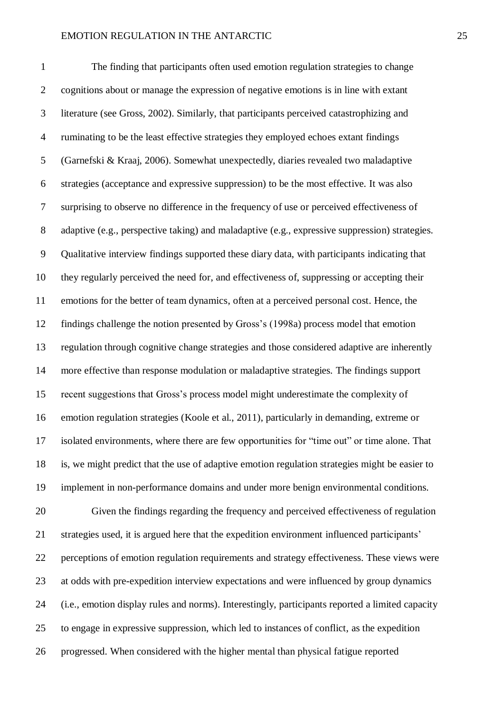The finding that participants often used emotion regulation strategies to change cognitions about or manage the expression of negative emotions is in line with extant literature (see Gross, 2002). Similarly, that participants perceived catastrophizing and ruminating to be the least effective strategies they employed echoes extant findings (Garnefski & Kraaj, 2006). Somewhat unexpectedly, diaries revealed two maladaptive strategies (acceptance and expressive suppression) to be the most effective. It was also surprising to observe no difference in the frequency of use or perceived effectiveness of adaptive (e.g., perspective taking) and maladaptive (e.g., expressive suppression) strategies. Qualitative interview findings supported these diary data, with participants indicating that they regularly perceived the need for, and effectiveness of, suppressing or accepting their emotions for the better of team dynamics, often at a perceived personal cost. Hence, the findings challenge the notion presented by Gross"s (1998a) process model that emotion regulation through cognitive change strategies and those considered adaptive are inherently more effective than response modulation or maladaptive strategies. The findings support recent suggestions that Gross"s process model might underestimate the complexity of emotion regulation strategies (Koole et al., 2011), particularly in demanding, extreme or isolated environments, where there are few opportunities for "time out" or time alone. That is, we might predict that the use of adaptive emotion regulation strategies might be easier to implement in non-performance domains and under more benign environmental conditions. Given the findings regarding the frequency and perceived effectiveness of regulation strategies used, it is argued here that the expedition environment influenced participants" perceptions of emotion regulation requirements and strategy effectiveness. These views were at odds with pre-expedition interview expectations and were influenced by group dynamics (i.e., emotion display rules and norms). Interestingly, participants reported a limited capacity to engage in expressive suppression, which led to instances of conflict, as the expedition

progressed. When considered with the higher mental than physical fatigue reported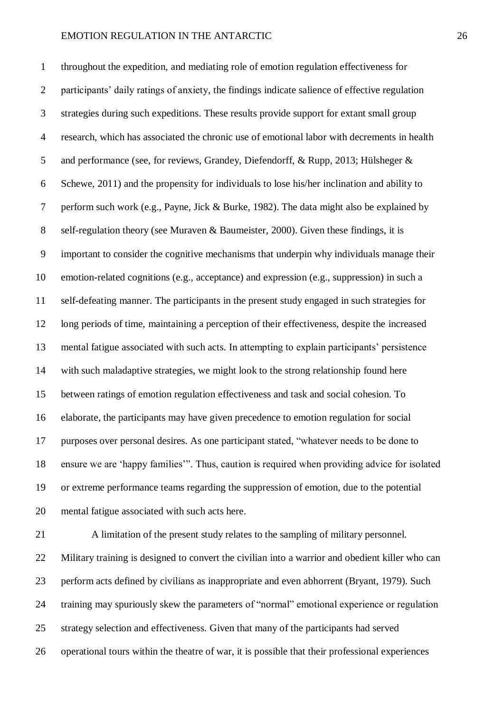throughout the expedition, and mediating role of emotion regulation effectiveness for 2 participants' daily ratings of anxiety, the findings indicate salience of effective regulation strategies during such expeditions. These results provide support for extant small group research, which has associated the chronic use of emotional labor with decrements in health and performance (see, for reviews, Grandey, Diefendorff, & Rupp, 2013; Hülsheger & Schewe, 2011) and the propensity for individuals to lose his/her inclination and ability to perform such work (e.g., Payne, Jick & Burke, 1982). The data might also be explained by self-regulation theory (see Muraven & Baumeister, 2000). Given these findings, it is important to consider the cognitive mechanisms that underpin why individuals manage their emotion-related cognitions (e.g., acceptance) and expression (e.g., suppression) in such a self-defeating manner. The participants in the present study engaged in such strategies for long periods of time, maintaining a perception of their effectiveness, despite the increased mental fatigue associated with such acts. In attempting to explain participants" persistence with such maladaptive strategies, we might look to the strong relationship found here between ratings of emotion regulation effectiveness and task and social cohesion. To elaborate, the participants may have given precedence to emotion regulation for social purposes over personal desires. As one participant stated, "whatever needs to be done to ensure we are "happy families"". Thus, caution is required when providing advice for isolated or extreme performance teams regarding the suppression of emotion, due to the potential mental fatigue associated with such acts here.

 A limitation of the present study relates to the sampling of military personnel. Military training is designed to convert the civilian into a warrior and obedient killer who can perform acts defined by civilians as inappropriate and even abhorrent (Bryant, 1979). Such training may spuriously skew the parameters of "normal" emotional experience or regulation strategy selection and effectiveness. Given that many of the participants had served operational tours within the theatre of war, it is possible that their professional experiences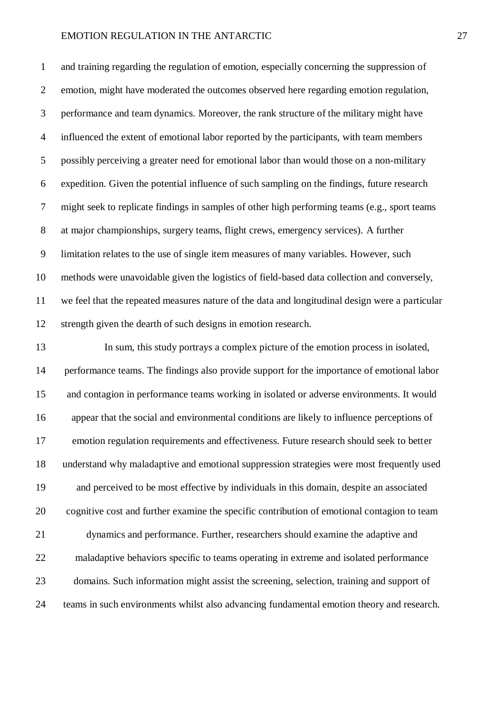and training regarding the regulation of emotion, especially concerning the suppression of emotion, might have moderated the outcomes observed here regarding emotion regulation, performance and team dynamics. Moreover, the rank structure of the military might have influenced the extent of emotional labor reported by the participants, with team members possibly perceiving a greater need for emotional labor than would those on a non-military expedition. Given the potential influence of such sampling on the findings, future research might seek to replicate findings in samples of other high performing teams (e.g., sport teams at major championships, surgery teams, flight crews, emergency services). A further limitation relates to the use of single item measures of many variables. However, such methods were unavoidable given the logistics of field-based data collection and conversely, we feel that the repeated measures nature of the data and longitudinal design were a particular strength given the dearth of such designs in emotion research.

 In sum, this study portrays a complex picture of the emotion process in isolated, performance teams. The findings also provide support for the importance of emotional labor and contagion in performance teams working in isolated or adverse environments. It would appear that the social and environmental conditions are likely to influence perceptions of emotion regulation requirements and effectiveness. Future research should seek to better understand why maladaptive and emotional suppression strategies were most frequently used and perceived to be most effective by individuals in this domain, despite an associated cognitive cost and further examine the specific contribution of emotional contagion to team dynamics and performance. Further, researchers should examine the adaptive and maladaptive behaviors specific to teams operating in extreme and isolated performance domains. Such information might assist the screening, selection, training and support of teams in such environments whilst also advancing fundamental emotion theory and research.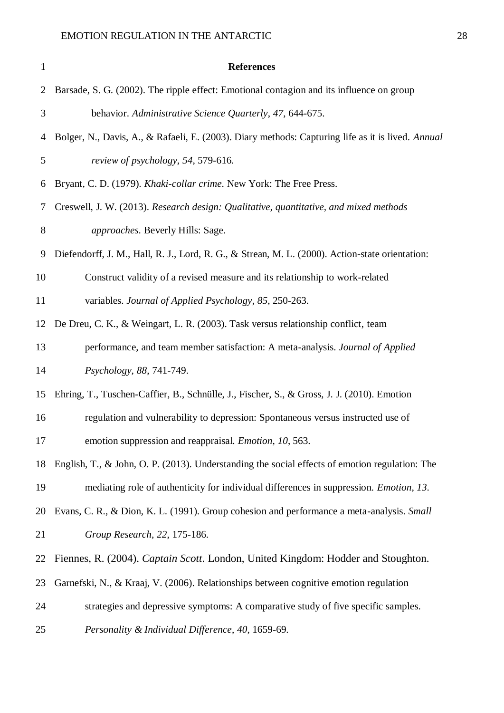| $\mathbf{1}$ | <b>References</b>                                                                                 |
|--------------|---------------------------------------------------------------------------------------------------|
| 2            | Barsade, S. G. (2002). The ripple effect: Emotional contagion and its influence on group          |
| 3            | behavior. Administrative Science Quarterly, 47, 644-675.                                          |
| 4            | Bolger, N., Davis, A., & Rafaeli, E. (2003). Diary methods: Capturing life as it is lived. Annual |
| 5            | review of psychology, 54, 579-616.                                                                |
| 6            | Bryant, C. D. (1979). Khaki-collar crime. New York: The Free Press.                               |
| 7            | Creswell, J. W. (2013). Research design: Qualitative, quantitative, and mixed methods             |
| 8            | <i>approaches.</i> Beverly Hills: Sage.                                                           |
| 9            | Diefendorff, J. M., Hall, R. J., Lord, R. G., & Strean, M. L. (2000). Action-state orientation:   |
| 10           | Construct validity of a revised measure and its relationship to work-related                      |
| 11           | variables. Journal of Applied Psychology, 85, 250-263.                                            |
| 12           | De Dreu, C. K., & Weingart, L. R. (2003). Task versus relationship conflict, team                 |
| 13           | performance, and team member satisfaction: A meta-analysis. Journal of Applied                    |
| 14           | Psychology, 88, 741-749.                                                                          |
| 15           | Ehring, T., Tuschen-Caffier, B., Schnülle, J., Fischer, S., & Gross, J. J. (2010). Emotion        |
| 16           | regulation and vulnerability to depression: Spontaneous versus instructed use of                  |
| 17           | emotion suppression and reappraisal. Emotion, 10, 563.                                            |
| 18           | English, T., & John, O. P. $(2013)$ . Understanding the social effects of emotion regulation: The |
| 19           | mediating role of authenticity for individual differences in suppression. <i>Emotion</i> , 13.    |
| 20           | Evans, C. R., & Dion, K. L. (1991). Group cohesion and performance a meta-analysis. Small         |
| 21           | Group Research, 22, 175-186.                                                                      |
| 22           | Fiennes, R. (2004). Captain Scott. London, United Kingdom: Hodder and Stoughton.                  |
| 23           | Garnefski, N., & Kraaj, V. (2006). Relationships between cognitive emotion regulation             |
| 24           | strategies and depressive symptoms: A comparative study of five specific samples.                 |
| 25           | Personality & Individual Difference, 40, 1659-69.                                                 |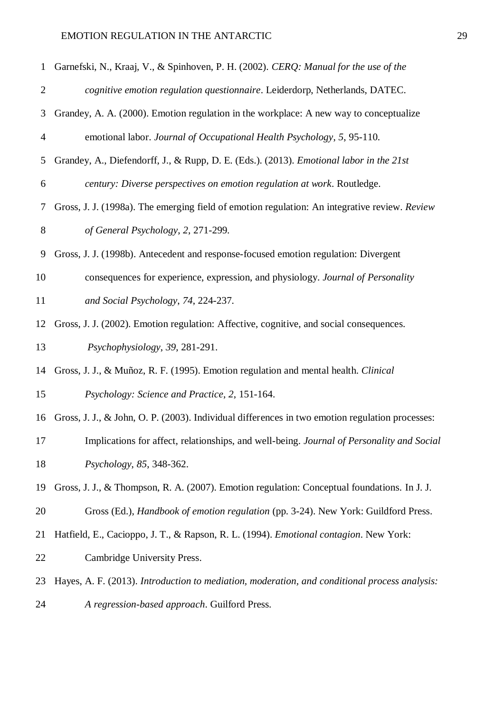| $\mathbf 1$    | Garnefski, N., Kraaj, V., & Spinhoven, P. H. (2002). CERQ: Manual for the use of the            |
|----------------|-------------------------------------------------------------------------------------------------|
| $\overline{2}$ | cognitive emotion regulation questionnaire. Leiderdorp, Netherlands, DATEC.                     |
| 3              | Grandey, A. A. (2000). Emotion regulation in the workplace: A new way to conceptualize          |
| $\overline{4}$ | emotional labor. Journal of Occupational Health Psychology, 5, 95-110.                          |
| 5              | Grandey, A., Diefendorff, J., & Rupp, D. E. (Eds.). (2013). <i>Emotional labor in the 21st</i>  |
| 6              | century: Diverse perspectives on emotion regulation at work. Routledge.                         |
| 7              | Gross, J. J. (1998a). The emerging field of emotion regulation: An integrative review. Review   |
| 8              | of General Psychology, 2, 271-299.                                                              |
| 9              | Gross, J. J. (1998b). Antecedent and response-focused emotion regulation: Divergent             |
| 10             | consequences for experience, expression, and physiology. Journal of Personality                 |
| 11             | and Social Psychology, 74, 224-237.                                                             |
| 12             | Gross, J. J. (2002). Emotion regulation: Affective, cognitive, and social consequences.         |
| 13             | Psychophysiology, 39, 281-291.                                                                  |
| 14             | Gross, J. J., & Muñoz, R. F. (1995). Emotion regulation and mental health. Clinical             |
| 15             | Psychology: Science and Practice, 2, 151-164.                                                   |
| 16             | Gross, J. J., & John, O. P. (2003). Individual differences in two emotion regulation processes: |
| 17             | Implications for affect, relationships, and well-being. Journal of Personality and Social       |
| 18             | Psychology, 85, 348-362.                                                                        |
| 19             | Gross, J. J., & Thompson, R. A. (2007). Emotion regulation: Conceptual foundations. In J. J.    |
| 20             | Gross (Ed.), Handbook of emotion regulation (pp. 3-24). New York: Guildford Press.              |
| 21             | Hatfield, E., Cacioppo, J. T., & Rapson, R. L. (1994). <i>Emotional contagion</i> . New York:   |
| 22             | Cambridge University Press.                                                                     |
| 23             | Hayes, A. F. (2013). Introduction to mediation, moderation, and conditional process analysis:   |
| 24             | A regression-based approach. Guilford Press.                                                    |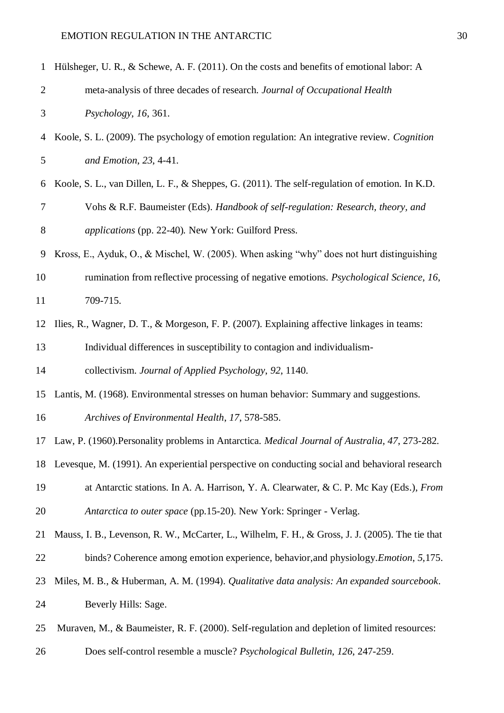| $\mathbf{1}$   | Hülsheger, U. R., & Schewe, A. F. (2011). On the costs and benefits of emotional labor: A         |
|----------------|---------------------------------------------------------------------------------------------------|
| $\overline{2}$ | meta-analysis of three decades of research. Journal of Occupational Health                        |
| 3              | Psychology, 16, 361.                                                                              |
| $\overline{4}$ | Koole, S. L. (2009). The psychology of emotion regulation: An integrative review. Cognition       |
| 5              | and Emotion, 23, 4-41.                                                                            |
| 6              | Koole, S. L., van Dillen, L. F., & Sheppes, G. (2011). The self-regulation of emotion. In K.D.    |
| 7              | Vohs & R.F. Baumeister (Eds). Handbook of self-regulation: Research, theory, and                  |
| 8              | applications (pp. 22-40). New York: Guilford Press.                                               |
| 9              | Kross, E., Ayduk, O., & Mischel, W. (2005). When asking "why" does not hurt distinguishing        |
| 10             | rumination from reflective processing of negative emotions. Psychological Science, 16,            |
| 11             | 709-715.                                                                                          |
| 12             | Ilies, R., Wagner, D. T., & Morgeson, F. P. (2007). Explaining affective linkages in teams:       |
| 13             | Individual differences in susceptibility to contagion and individualism-                          |
| 14             | collectivism. Journal of Applied Psychology, 92, 1140.                                            |
| 15             | Lantis, M. (1968). Environmental stresses on human behavior: Summary and suggestions.             |
| 16             | Archives of Environmental Health, 17, 578-585.                                                    |
|                | 17 Law, P. (1960). Personality problems in Antarctica. Medical Journal of Australia, 47, 273-282. |
| 18             | Levesque, M. (1991). An experiential perspective on conducting social and behavioral research     |
| 19             | at Antarctic stations. In A. A. Harrison, Y. A. Clearwater, & C. P. Mc Kay (Eds.), From           |
| 20             | Antarctica to outer space (pp.15-20). New York: Springer - Verlag.                                |
| 21             | Mauss, I. B., Levenson, R. W., McCarter, L., Wilhelm, F. H., & Gross, J. J. (2005). The tie that  |
| 22             | binds? Coherence among emotion experience, behavior, and physiology. <i>Emotion</i> , 5,175.      |
| 23             | Miles, M. B., & Huberman, A. M. (1994). Qualitative data analysis: An expanded sourcebook.        |
| 24             | Beverly Hills: Sage.                                                                              |
| 25             | Muraven, M., & Baumeister, R. F. (2000). Self-regulation and depletion of limited resources:      |
| 26             | Does self-control resemble a muscle? Psychological Bulletin, 126, 247-259.                        |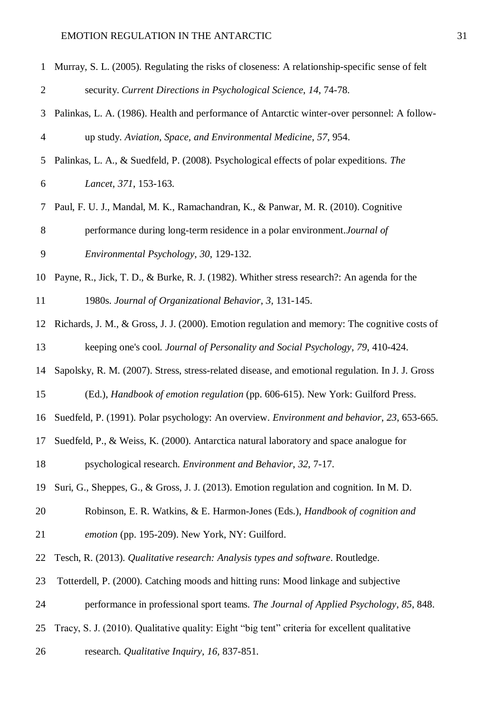- Murray, S. L. (2005). Regulating the risks of closeness: A relationship-specific sense of felt security. *Current Directions in Psychological Science*, *14*, 74-78.
- Palinkas, L. A. (1986). Health and performance of Antarctic winter-over personnel: A follow-up study. *Aviation, Space, and Environmental Medicine*, *57*, 954.
- Palinkas, L. A., & Suedfeld, P. (2008). Psychological effects of polar expeditions. *The Lancet*, *371*, 153-163.
- Paul, F. U. J., Mandal, M. K., Ramachandran, K., & Panwar, M. R. (2010). Cognitive

performance during long-term residence in a polar environment.*Journal of* 

*Environmental Psychology*, *30*, 129-132.

 Payne, R., Jick, T. D., & Burke, R. J. (1982). Whither stress research?: An agenda for the 1980s. *Journal of Organizational Behavior*, *3*, 131-145.

 Richards, J. M., & Gross, J. J. (2000). Emotion regulation and memory: The cognitive costs of keeping one's cool. *Journal of Personality and Social Psychology*, *79*, 410-424.

Sapolsky, R. M. (2007). Stress, stress-related disease, and emotional regulation. In J. J. Gross

(Ed.), *Handbook of emotion regulation* (pp. 606-615). New York: Guilford Press.

Suedfeld, P. (1991). Polar psychology: An overview. *Environment and behavior*, *23*, 653-665.

 Suedfeld, P., & Weiss, K. (2000). Antarctica natural laboratory and space analogue for psychological research. *Environment and Behavior*, *32*, 7-17.

Suri, G., Sheppes, G., & Gross, J. J. (2013). Emotion regulation and cognition. In M. D.

- Robinson, E. R. Watkins, & E. Harmon-Jones (Eds.), *Handbook of cognition and*
- *emotion* (pp. 195-209). New York, NY: Guilford.
- Tesch, R. (2013). *Qualitative research: Analysis types and software*. Routledge.
- Totterdell, P. (2000). Catching moods and hitting runs: Mood linkage and subjective
- performance in professional sport teams. *The Journal of Applied Psychology*, *85*, 848.
- Tracy, S. J. (2010). Qualitative quality: Eight "big tent" criteria for excellent qualitative
- research. *Qualitative Inquiry, 16,* 837-851.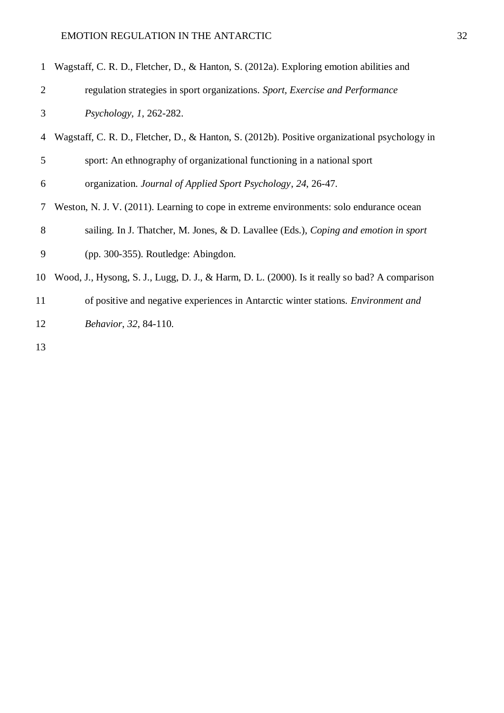| 1              | Wagstaff, C. R. D., Fletcher, D., & Hanton, S. (2012a). Exploring emotion abilities and       |
|----------------|-----------------------------------------------------------------------------------------------|
| $\overline{2}$ | regulation strategies in sport organizations. Sport, Exercise and Performance                 |
| 3              | Psychology, 1, 262-282.                                                                       |
| 4              | Wagstaff, C. R. D., Fletcher, D., & Hanton, S. (2012b). Positive organizational psychology in |
| 5              | sport: An ethnography of organizational functioning in a national sport                       |
| 6              | organization. Journal of Applied Sport Psychology, 24, 26-47.                                 |
| 7              | Weston, N. J. V. (2011). Learning to cope in extreme environments: solo endurance ocean       |
| 8              | sailing. In J. Thatcher, M. Jones, & D. Lavallee (Eds.), Coping and emotion in sport          |
| 9              | (pp. 300-355). Routledge: Abingdon.                                                           |
| 10             | Wood, J., Hysong, S. J., Lugg, D. J., & Harm, D. L. (2000). Is it really so bad? A comparison |
| 11             | of positive and negative experiences in Antarctic winter stations. Environment and            |
| 12             | Behavior, 32, 84-110.                                                                         |
|                |                                                                                               |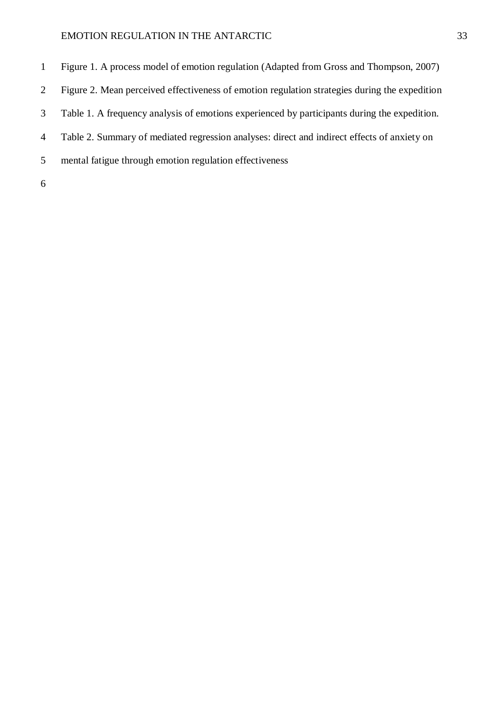- Figure 1. A process model of emotion regulation (Adapted from Gross and Thompson, 2007)
- Figure 2. Mean perceived effectiveness of emotion regulation strategies during the expedition
- Table 1. A frequency analysis of emotions experienced by participants during the expedition.
- Table 2. Summary of mediated regression analyses: direct and indirect effects of anxiety on
- mental fatigue through emotion regulation effectiveness
-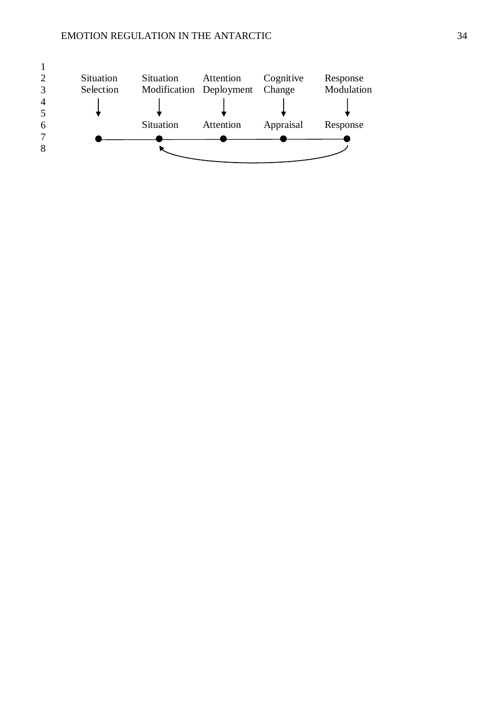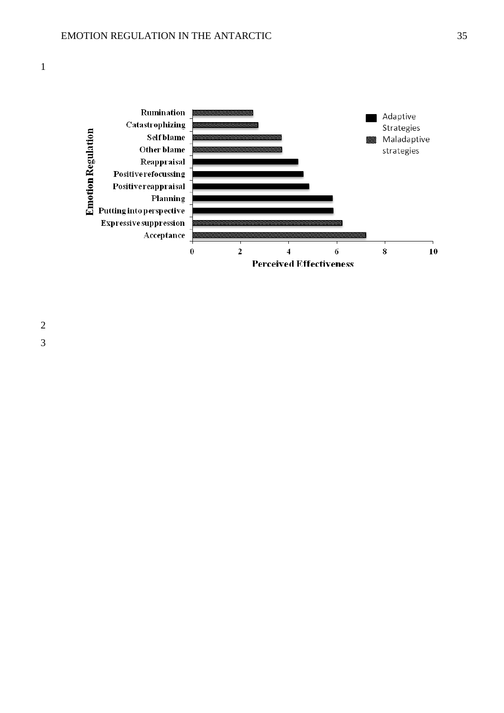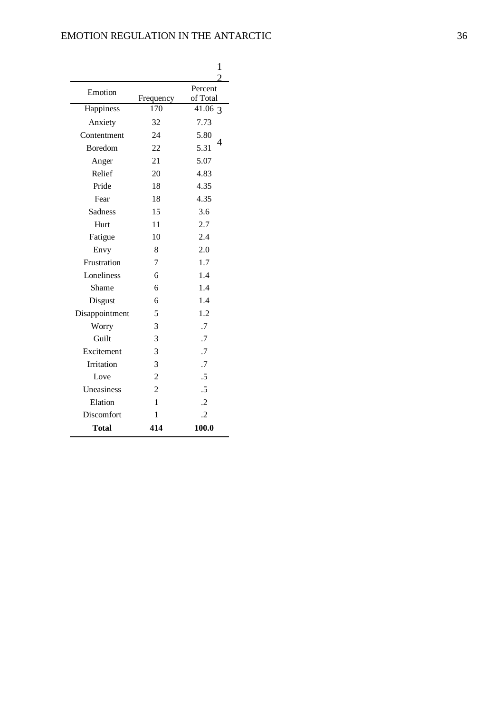|                |                | 1                   |
|----------------|----------------|---------------------|
| Emotion        | Frequency      | Percent<br>of Total |
| Happiness      | 170            | 41.06,3             |
| Anxiety        | 32             | 7.73                |
| Contentment    | 24             | 5.80                |
| Boredom        | 22             | 4<br>5.31           |
| Anger          | 21             | 5.07                |
| Relief         | 20             | 4.83                |
| Pride          | 18             | 4.35                |
| Fear           | 18             | 4.35                |
| Sadness        | 15             | 3.6                 |
| Hurt           | 11             | 2.7                 |
| Fatigue        | 10             | 2.4                 |
| Envy           | 8              | 2.0                 |
| Frustration    | 7              | 1.7                 |
| Loneliness     | 6              | 1.4                 |
| Shame          | 6              | 1.4                 |
| Disgust        | 6              | 1.4                 |
| Disappointment | 5              | 1.2                 |
| Worry          | 3              | .7                  |
| Guilt          | 3              | .7                  |
| Excitement     | 3              | .7                  |
| Irritation     | 3              | .7                  |
| Love           | $\overline{2}$ | .5                  |
| Uneasiness     | $\overline{2}$ | .5                  |
| Elation        | 1              | $\cdot$ .2          |
| Discomfort     | 1              | $\cdot$             |
| <b>Total</b>   | 414            | 100.0               |